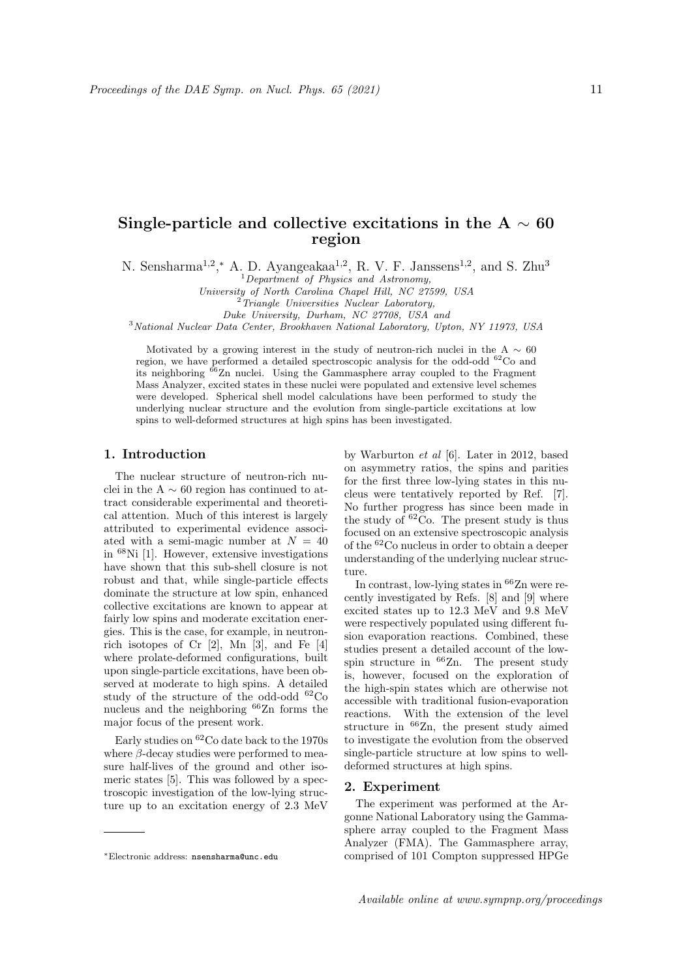# Single-particle and collective excitations in the A  $\sim 60$ region

N. Sensharma<sup>1,2</sup>,\* A. D. Ayangeakaa<sup>1,2</sup>, R. V. F. Janssens<sup>1,2</sup>, and S. Zhu<sup>3</sup>

 ${}^{1}$ Department of Physics and Astronomy,

University of North Carolina Chapel Hill, NC 27599, USA

 $2$ Triangle Universities Nuclear Laboratory,

Duke University, Durham, NC 27708, USA and

<sup>3</sup>National Nuclear Data Center, Brookhaven National Laboratory, Upton, NY 11973, USA

Motivated by a growing interest in the study of neutron-rich nuclei in the A  $\sim 60$ region, we have performed a detailed spectroscopic analysis for the odd-odd <sup>62</sup>Co and its neighboring <sup>66</sup>Zn nuclei. Using the Gammasphere array coupled to the Fragment Mass Analyzer, excited states in these nuclei were populated and extensive level schemes were developed. Spherical shell model calculations have been performed to study the underlying nuclear structure and the evolution from single-particle excitations at low spins to well-deformed structures at high spins has been investigated.

# 1. Introduction

The nuclear structure of neutron-rich nuclei in the A  $\sim$  60 region has continued to attract considerable experimental and theoretical attention. Much of this interest is largely attributed to experimental evidence associated with a semi-magic number at  $N = 40$ in <sup>68</sup>Ni [1]. However, extensive investigations have shown that this sub-shell closure is not robust and that, while single-particle effects dominate the structure at low spin, enhanced collective excitations are known to appear at fairly low spins and moderate excitation energies. This is the case, for example, in neutronrich isotopes of Cr [2], Mn [3], and Fe [4] where prolate-deformed configurations, built upon single-particle excitations, have been observed at moderate to high spins. A detailed study of the structure of the odd-odd <sup>62</sup>Co nucleus and the neighboring <sup>66</sup>Zn forms the major focus of the present work.

Early studies on <sup>62</sup>Co date back to the 1970s where  $\beta$ -decay studies were performed to measure half-lives of the ground and other isomeric states [5]. This was followed by a spectroscopic investigation of the low-lying structure up to an excitation energy of 2.3 MeV by Warburton et al [6]. Later in 2012, based on asymmetry ratios, the spins and parities for the first three low-lying states in this nucleus were tentatively reported by Ref. [7]. No further progress has since been made in the study of  ${}^{62}Co$ . The present study is thus focused on an extensive spectroscopic analysis of the <sup>62</sup>Co nucleus in order to obtain a deeper understanding of the underlying nuclear structure.

In contrast, low-lying states in  ${}^{66}Zn$  were recently investigated by Refs. [8] and [9] where excited states up to 12.3 MeV and 9.8 MeV were respectively populated using different fusion evaporation reactions. Combined, these studies present a detailed account of the lowspin structure in  ${}^{66}$ Zn. The present study is, however, focused on the exploration of the high-spin states which are otherwise not accessible with traditional fusion-evaporation reactions. With the extension of the level structure in <sup>66</sup>Zn, the present study aimed to investigate the evolution from the observed single-particle structure at low spins to welldeformed structures at high spins.

#### 2. Experiment

The experiment was performed at the Argonne National Laboratory using the Gammasphere array coupled to the Fragment Mass Analyzer (FMA). The Gammasphere array, comprised of 101 Compton suppressed HPGe

<sup>∗</sup>Electronic address: nsensharma@unc.edu